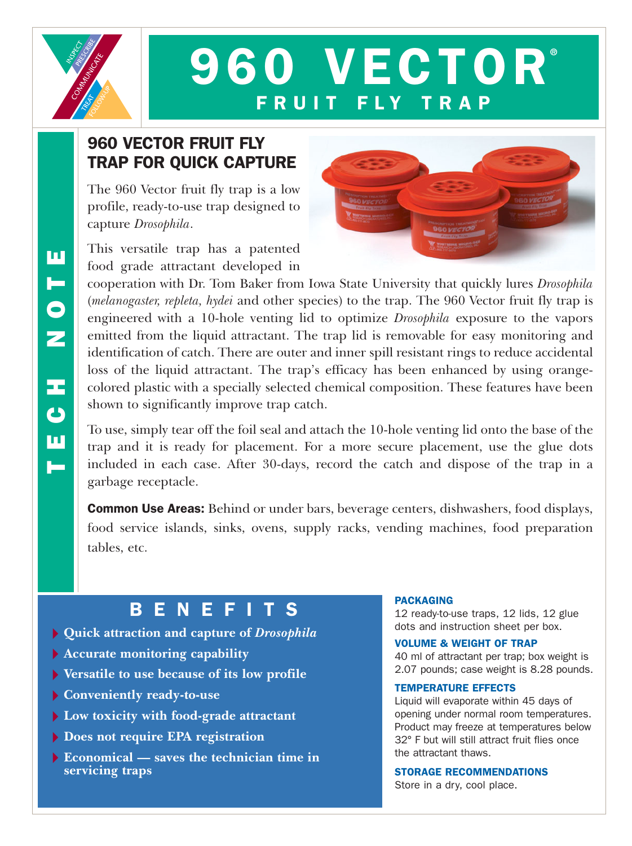

# **960 VECTOR** FRUIT FLY

## 960 VECTOR FRUIT FLY TRAP FOR QUICK CAPTURE

The 960 Vector fruit fly trap is a low profile, ready-to-use trap designed to capture *Drosophila*.

This versatile trap has a patented food grade attractant developed in



cooperation with Dr. Tom Baker from Iowa State University that quickly lures *Drosophila* (*melanogaster, repleta, hydei* and other species) to the trap. The 960 Vector fruit fly trap is engineered with a 10-hole venting lid to optimize *Drosophila* exposure to the vapors emitted from the liquid attractant. The trap lid is removable for easy monitoring and identification of catch. There are outer and inner spill resistant rings to reduce accidental loss of the liquid attractant. The trap's efficacy has been enhanced by using orangecolored plastic with a specially selected chemical composition. These features have been shown to significantly improve trap catch.

To use, simply tear off the foil seal and attach the 10-hole venting lid onto the base of the trap and it is ready for placement. For a more secure placement, use the glue dots included in each case. After 30-days, record the catch and dispose of the trap in a garbage receptacle.

Common Use Areas: Behind or under bars, beverage centers, dishwashers, food displays, food service islands, sinks, ovens, supply racks, vending machines, food preparation tables, etc.

## **BENEFITS**

- **Quick attraction and capture of** *Drosophila*
- **Accurate monitoring capability**
- **Versatile to use because of its low profile**
- **Conveniently ready-to-use**
- **Low toxicity with food-grade attractant**
- **Does not require EPA registration**
- **Economical saves the technician time in servicing traps**

#### PACKAGING

12 ready-to-use traps, 12 lids, 12 glue dots and instruction sheet per box.

VOLUME & WEIGHT OF TRAP

40 ml of attractant per trap; box weight is 2.07 pounds; case weight is 8.28 pounds.

#### TEMPERATURE EFFECTS

Liquid will evaporate within 45 days of opening under normal room temperatures. Product may freeze at temperatures below 32° F but will still attract fruit flies once the attractant thaws.

STORAGE RECOMMENDATIONS Store in a dry, cool place.

ш TECH NOTE ь  $\frac{1}{2}$ Œ  $\ddot{\mathbf{C}}$ ш  $\blacksquare$